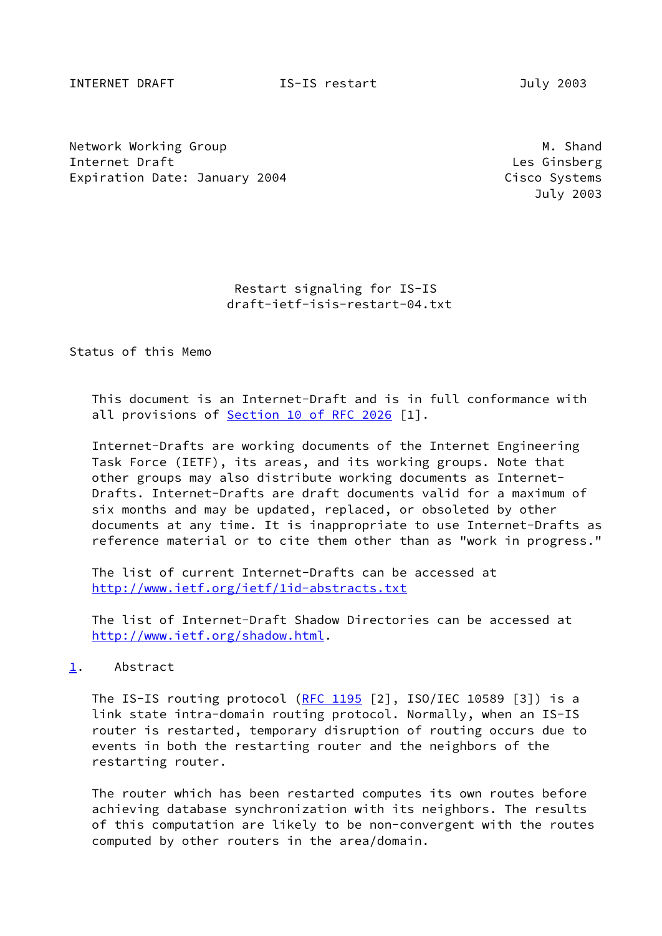INTERNET DRAFT IS-IS restart July 2003

Network Working Group Manuscript Communication of the Manuscript Communication of Manuscript Communication of M Internet Draft **Les Ginsberg** Les Ginsberg Les Ginsberg Les Ginsberg Les Ginsberg Les Ginsberg Les Ginsberg Les Ginsberg Les Ginsberg Les Ginsberg Les Ginsberg Les Ginsberg Les Ginsberg Les Ginsberg Les Ginsberg Les Ginsbe Expiration Date: January 2004 Cisco Systems

July 2003

 Restart signaling for IS-IS draft-ietf-isis-restart-04.txt

Status of this Memo

 This document is an Internet-Draft and is in full conformance with all provisions of Section [10 of RFC 2026](https://datatracker.ietf.org/doc/pdf/rfc2026#section-10) [1].

 Internet-Drafts are working documents of the Internet Engineering Task Force (IETF), its areas, and its working groups. Note that other groups may also distribute working documents as Internet- Drafts. Internet-Drafts are draft documents valid for a maximum of six months and may be updated, replaced, or obsoleted by other documents at any time. It is inappropriate to use Internet-Drafts as reference material or to cite them other than as "work in progress."

 The list of current Internet-Drafts can be accessed at <http://www.ietf.org/ietf/1id-abstracts.txt>

 The list of Internet-Draft Shadow Directories can be accessed at <http://www.ietf.org/shadow.html>.

#### <span id="page-0-0"></span>[1](#page-0-0). Abstract

The IS-IS routing protocol  $(RFC 1195 [2], ISO/IEC 10589 [3])$  $(RFC 1195 [2], ISO/IEC 10589 [3])$  $(RFC 1195 [2], ISO/IEC 10589 [3])$  is a link state intra-domain routing protocol. Normally, when an IS-IS router is restarted, temporary disruption of routing occurs due to events in both the restarting router and the neighbors of the restarting router.

 The router which has been restarted computes its own routes before achieving database synchronization with its neighbors. The results of this computation are likely to be non-convergent with the routes computed by other routers in the area/domain.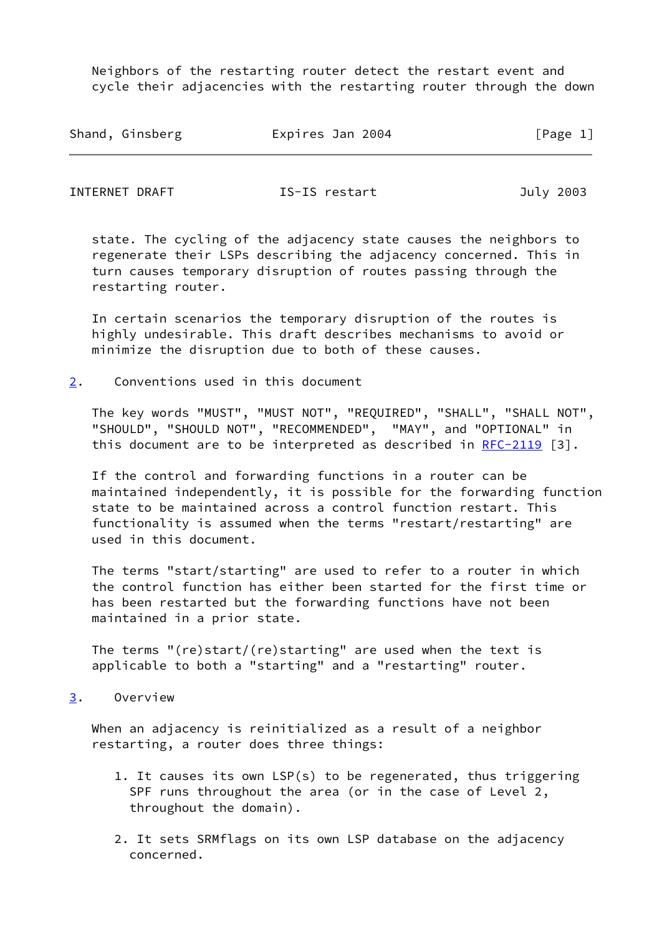Neighbors of the restarting router detect the restart event and cycle their adjacencies with the restarting router through the down

| Shand, Ginsberg | Expires Jan 2004 | [Page 1] |
|-----------------|------------------|----------|
|                 |                  |          |

INTERNET DRAFT **IS-IS** restart **IS-IS** restart July 2003

 state. The cycling of the adjacency state causes the neighbors to regenerate their LSPs describing the adjacency concerned. This in turn causes temporary disruption of routes passing through the restarting router.

 In certain scenarios the temporary disruption of the routes is highly undesirable. This draft describes mechanisms to avoid or minimize the disruption due to both of these causes.

<span id="page-1-0"></span>[2](#page-1-0). Conventions used in this document

 The key words "MUST", "MUST NOT", "REQUIRED", "SHALL", "SHALL NOT", "SHOULD", "SHOULD NOT", "RECOMMENDED", "MAY", and "OPTIONAL" in this document are to be interpreted as described in  $RFC-2119$  [3].

 If the control and forwarding functions in a router can be maintained independently, it is possible for the forwarding function state to be maintained across a control function restart. This functionality is assumed when the terms "restart/restarting" are used in this document.

 The terms "start/starting" are used to refer to a router in which the control function has either been started for the first time or has been restarted but the forwarding functions have not been maintained in a prior state.

 The terms "(re)start/(re)starting" are used when the text is applicable to both a "starting" and a "restarting" router.

<span id="page-1-1"></span>[3](#page-1-1). Overview

 When an adjacency is reinitialized as a result of a neighbor restarting, a router does three things:

- 1. It causes its own LSP(s) to be regenerated, thus triggering SPF runs throughout the area (or in the case of Level 2, throughout the domain).
- 2. It sets SRMflags on its own LSP database on the adjacency concerned.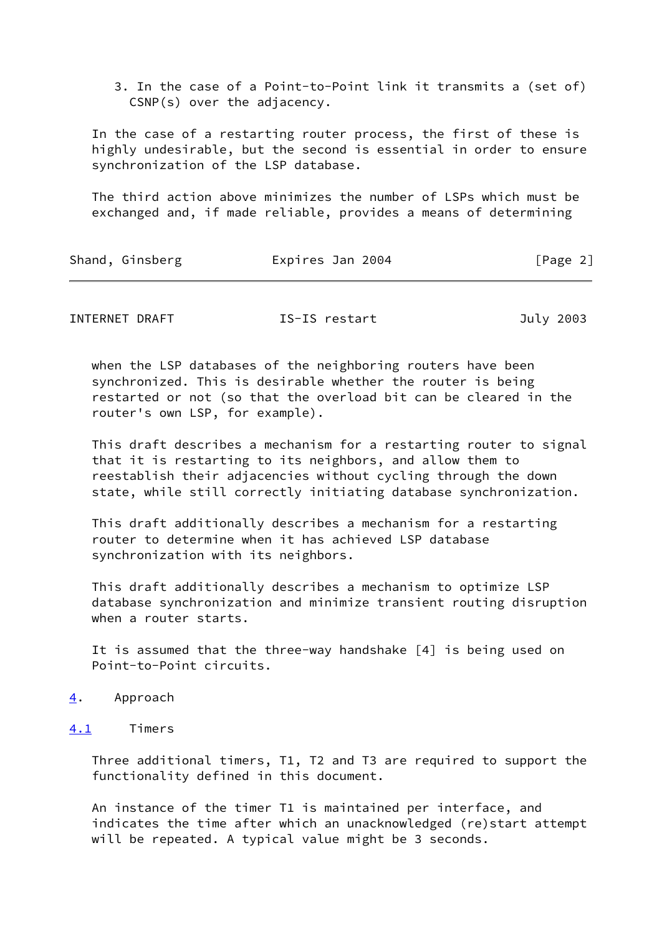3. In the case of a Point-to-Point link it transmits a (set of) CSNP(s) over the adjacency.

 In the case of a restarting router process, the first of these is highly undesirable, but the second is essential in order to ensure synchronization of the LSP database.

 The third action above minimizes the number of LSPs which must be exchanged and, if made reliable, provides a means of determining

| Expires Jan 2004<br>Shand, Ginsberg | [Page 2] |
|-------------------------------------|----------|
|-------------------------------------|----------|

INTERNET DRAFT IS-IS restart July 2003

 when the LSP databases of the neighboring routers have been synchronized. This is desirable whether the router is being restarted or not (so that the overload bit can be cleared in the router's own LSP, for example).

 This draft describes a mechanism for a restarting router to signal that it is restarting to its neighbors, and allow them to reestablish their adjacencies without cycling through the down state, while still correctly initiating database synchronization.

 This draft additionally describes a mechanism for a restarting router to determine when it has achieved LSP database synchronization with its neighbors.

 This draft additionally describes a mechanism to optimize LSP database synchronization and minimize transient routing disruption when a router starts.

 It is assumed that the three-way handshake [4] is being used on Point-to-Point circuits.

- <span id="page-2-0"></span>[4](#page-2-0). Approach
- <span id="page-2-1"></span>[4.1](#page-2-1) Timers

 Three additional timers, T1, T2 and T3 are required to support the functionality defined in this document.

 An instance of the timer T1 is maintained per interface, and indicates the time after which an unacknowledged (re)start attempt will be repeated. A typical value might be 3 seconds.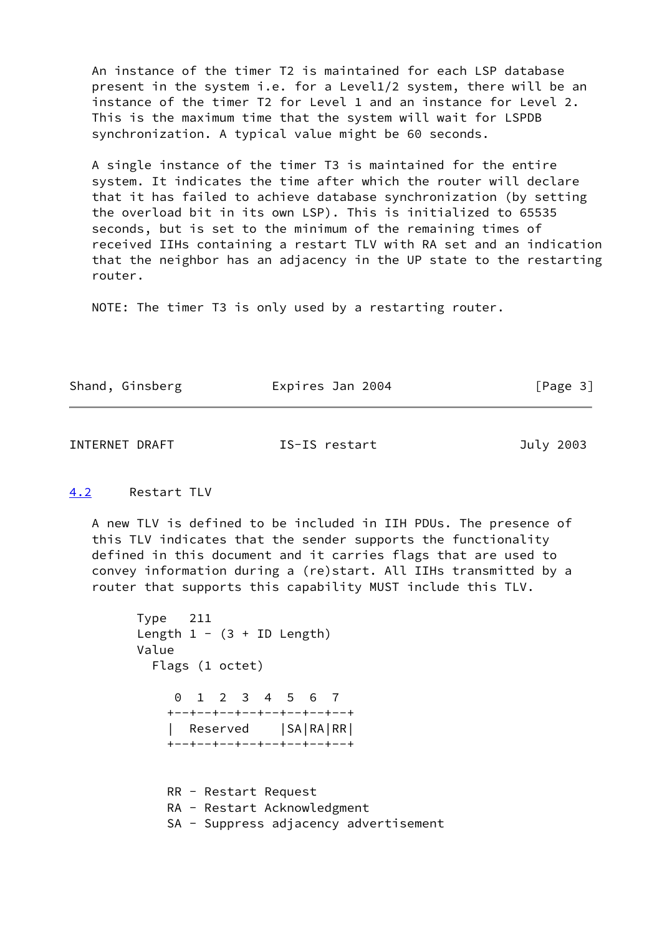An instance of the timer T2 is maintained for each LSP database present in the system i.e. for a Level1/2 system, there will be an instance of the timer T2 for Level 1 and an instance for Level 2. This is the maximum time that the system will wait for LSPDB synchronization. A typical value might be 60 seconds.

 A single instance of the timer T3 is maintained for the entire system. It indicates the time after which the router will declare that it has failed to achieve database synchronization (by setting the overload bit in its own LSP). This is initialized to 65535 seconds, but is set to the minimum of the remaining times of received IIHs containing a restart TLV with RA set and an indication that the neighbor has an adjacency in the UP state to the restarting router.

NOTE: The timer T3 is only used by a restarting router.

| Shand, Ginsberg | Expires Jan 2004 | [Page 3] |
|-----------------|------------------|----------|
|-----------------|------------------|----------|

INTERNET DRAFT **IS-IS** restart **IS-19 July 2003** 

# <span id="page-3-0"></span>[4.2](#page-3-0) Restart TLV

 A new TLV is defined to be included in IIH PDUs. The presence of this TLV indicates that the sender supports the functionality defined in this document and it carries flags that are used to convey information during a (re)start. All IIHs transmitted by a router that supports this capability MUST include this TLV.

```
 Type 211
Length 1 - (3 + ID Length)
 Value
   Flags (1 octet)
      0 1 2 3 4 5 6 7
     +--+--+--+--+--+--+--+--+
     | Reserved |SA|RA|RR|
     +--+--+--+--+--+--+--+--+
     RR - Restart Request
     RA - Restart Acknowledgment
     SA - Suppress adjacency advertisement
```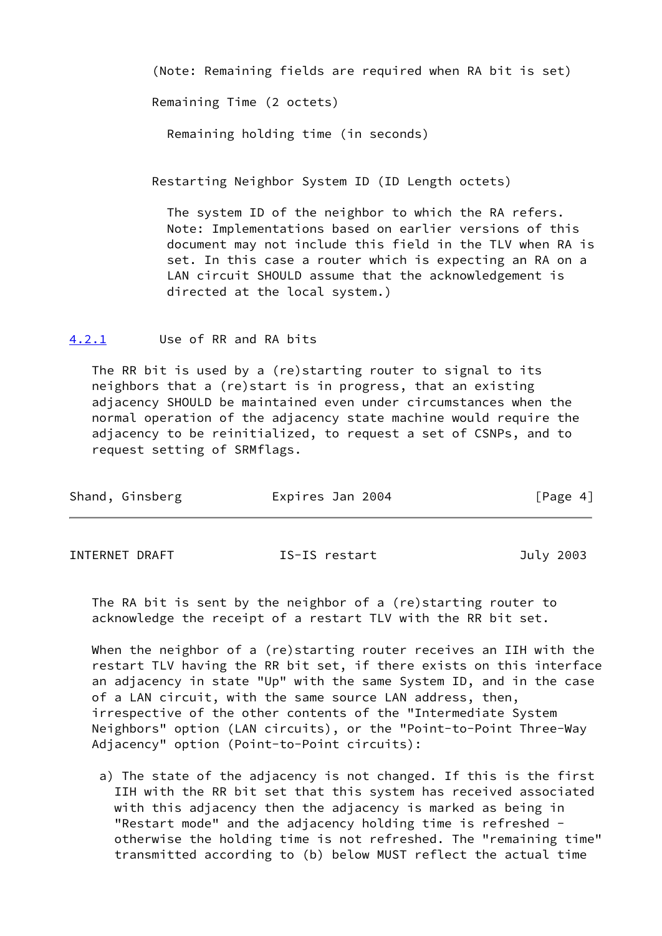(Note: Remaining fields are required when RA bit is set)

Remaining Time (2 octets)

Remaining holding time (in seconds)

Restarting Neighbor System ID (ID Length octets)

 The system ID of the neighbor to which the RA refers. Note: Implementations based on earlier versions of this document may not include this field in the TLV when RA is set. In this case a router which is expecting an RA on a LAN circuit SHOULD assume that the acknowledgement is directed at the local system.)

<span id="page-4-0"></span>[4.2.1](#page-4-0) Use of RR and RA bits

 The RR bit is used by a (re)starting router to signal to its neighbors that a (re)start is in progress, that an existing adjacency SHOULD be maintained even under circumstances when the normal operation of the adjacency state machine would require the adjacency to be reinitialized, to request a set of CSNPs, and to request setting of SRMflags.

| Shand, Ginsberg | Expires Jan 2004 | [Page 4] |
|-----------------|------------------|----------|
|                 |                  |          |

INTERNET DRAFT IS-IS restart July 2003

 The RA bit is sent by the neighbor of a (re)starting router to acknowledge the receipt of a restart TLV with the RR bit set.

When the neighbor of a (re)starting router receives an IIH with the restart TLV having the RR bit set, if there exists on this interface an adjacency in state "Up" with the same System ID, and in the case of a LAN circuit, with the same source LAN address, then, irrespective of the other contents of the "Intermediate System Neighbors" option (LAN circuits), or the "Point-to-Point Three-Way Adjacency" option (Point-to-Point circuits):

 a) The state of the adjacency is not changed. If this is the first IIH with the RR bit set that this system has received associated with this adjacency then the adjacency is marked as being in "Restart mode" and the adjacency holding time is refreshed otherwise the holding time is not refreshed. The "remaining time" transmitted according to (b) below MUST reflect the actual time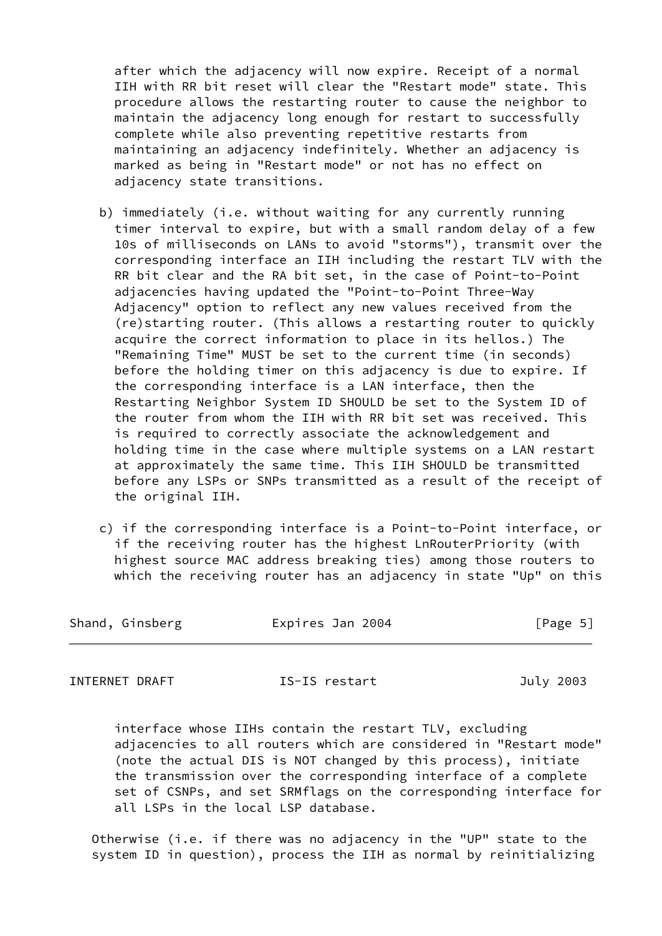after which the adjacency will now expire. Receipt of a normal IIH with RR bit reset will clear the "Restart mode" state. This procedure allows the restarting router to cause the neighbor to maintain the adjacency long enough for restart to successfully complete while also preventing repetitive restarts from maintaining an adjacency indefinitely. Whether an adjacency is marked as being in "Restart mode" or not has no effect on adjacency state transitions.

- b) immediately (i.e. without waiting for any currently running timer interval to expire, but with a small random delay of a few 10s of milliseconds on LANs to avoid "storms"), transmit over the corresponding interface an IIH including the restart TLV with the RR bit clear and the RA bit set, in the case of Point-to-Point adjacencies having updated the "Point-to-Point Three-Way Adjacency" option to reflect any new values received from the (re)starting router. (This allows a restarting router to quickly acquire the correct information to place in its hellos.) The "Remaining Time" MUST be set to the current time (in seconds) before the holding timer on this adjacency is due to expire. If the corresponding interface is a LAN interface, then the Restarting Neighbor System ID SHOULD be set to the System ID of the router from whom the IIH with RR bit set was received. This is required to correctly associate the acknowledgement and holding time in the case where multiple systems on a LAN restart at approximately the same time. This IIH SHOULD be transmitted before any LSPs or SNPs transmitted as a result of the receipt of the original IIH.
- c) if the corresponding interface is a Point-to-Point interface, or if the receiving router has the highest LnRouterPriority (with highest source MAC address breaking ties) among those routers to which the receiving router has an adjacency in state "Up" on this

| Shand, Ginsberg | Expires Jan 2004 | [Page 5] |
|-----------------|------------------|----------|
|                 |                  |          |

INTERNET DRAFT IS-IS restart July 2003

 interface whose IIHs contain the restart TLV, excluding adjacencies to all routers which are considered in "Restart mode" (note the actual DIS is NOT changed by this process), initiate the transmission over the corresponding interface of a complete set of CSNPs, and set SRMflags on the corresponding interface for all LSPs in the local LSP database.

 Otherwise (i.e. if there was no adjacency in the "UP" state to the system ID in question), process the IIH as normal by reinitializing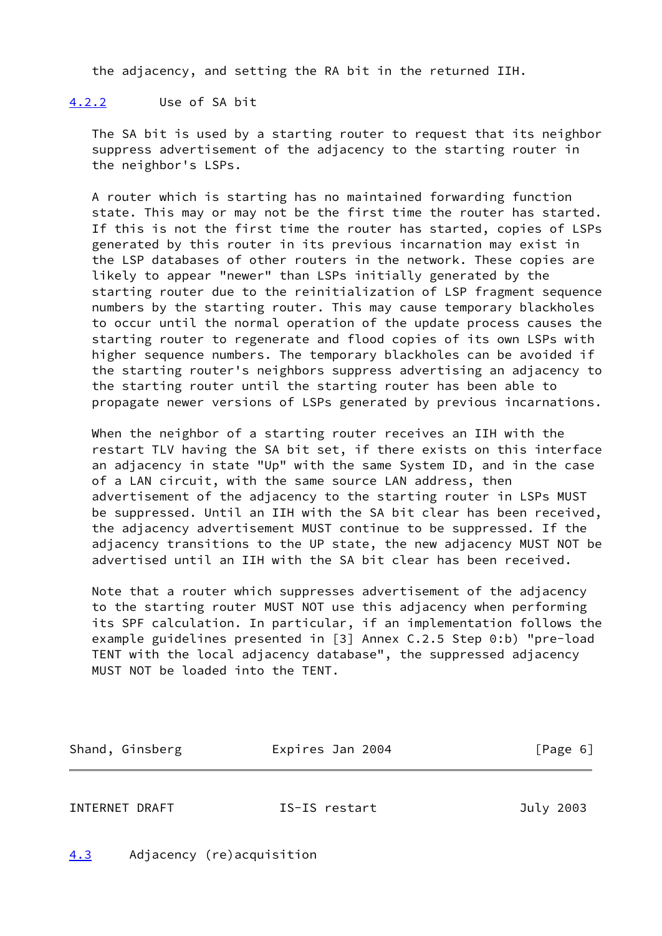the adjacency, and setting the RA bit in the returned IIH.

### <span id="page-6-0"></span>[4.2.2](#page-6-0) Use of SA bit

 The SA bit is used by a starting router to request that its neighbor suppress advertisement of the adjacency to the starting router in the neighbor's LSPs.

 A router which is starting has no maintained forwarding function state. This may or may not be the first time the router has started. If this is not the first time the router has started, copies of LSPs generated by this router in its previous incarnation may exist in the LSP databases of other routers in the network. These copies are likely to appear "newer" than LSPs initially generated by the starting router due to the reinitialization of LSP fragment sequence numbers by the starting router. This may cause temporary blackholes to occur until the normal operation of the update process causes the starting router to regenerate and flood copies of its own LSPs with higher sequence numbers. The temporary blackholes can be avoided if the starting router's neighbors suppress advertising an adjacency to the starting router until the starting router has been able to propagate newer versions of LSPs generated by previous incarnations.

 When the neighbor of a starting router receives an IIH with the restart TLV having the SA bit set, if there exists on this interface an adjacency in state "Up" with the same System ID, and in the case of a LAN circuit, with the same source LAN address, then advertisement of the adjacency to the starting router in LSPs MUST be suppressed. Until an IIH with the SA bit clear has been received, the adjacency advertisement MUST continue to be suppressed. If the adjacency transitions to the UP state, the new adjacency MUST NOT be advertised until an IIH with the SA bit clear has been received.

 Note that a router which suppresses advertisement of the adjacency to the starting router MUST NOT use this adjacency when performing its SPF calculation. In particular, if an implementation follows the example guidelines presented in [3] Annex C.2.5 Step 0:b) "pre-load TENT with the local adjacency database", the suppressed adjacency MUST NOT be loaded into the TENT.

| Shand, Ginsberg | Expires Jan 2004 | [Page 6] |  |
|-----------------|------------------|----------|--|
|                 |                  |          |  |

INTERNET DRAFT IS-IS restart July 2003

<span id="page-6-1"></span>[4.3](#page-6-1) Adjacency (re)acquisition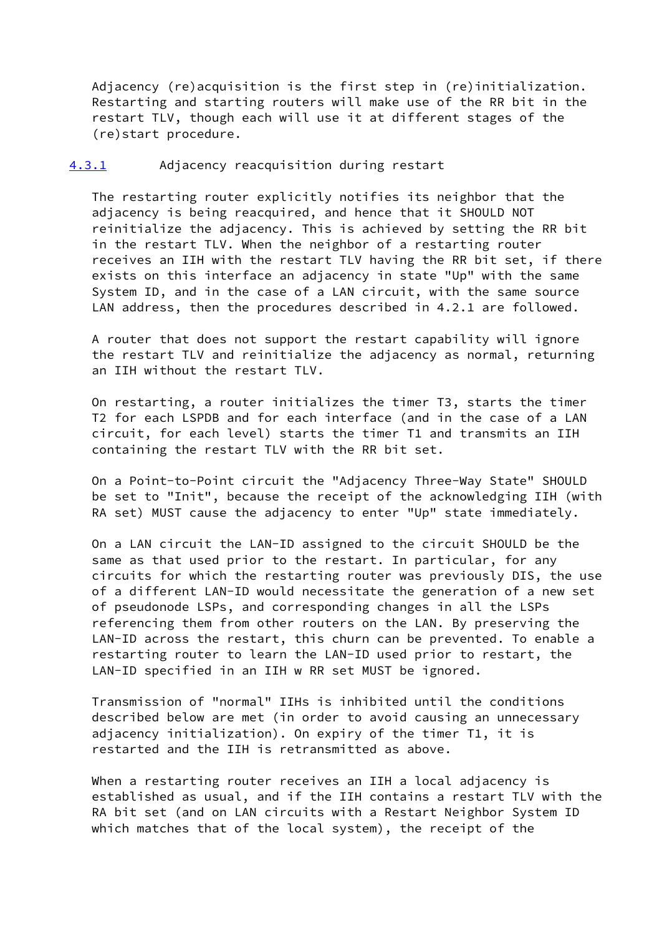Adjacency (re)acquisition is the first step in (re)initialization. Restarting and starting routers will make use of the RR bit in the restart TLV, though each will use it at different stages of the (re)start procedure.

# <span id="page-7-0"></span>[4.3.1](#page-7-0) Adjacency reacquisition during restart

 The restarting router explicitly notifies its neighbor that the adjacency is being reacquired, and hence that it SHOULD NOT reinitialize the adjacency. This is achieved by setting the RR bit in the restart TLV. When the neighbor of a restarting router receives an IIH with the restart TLV having the RR bit set, if there exists on this interface an adjacency in state "Up" with the same System ID, and in the case of a LAN circuit, with the same source LAN address, then the procedures described in 4.2.1 are followed.

 A router that does not support the restart capability will ignore the restart TLV and reinitialize the adjacency as normal, returning an IIH without the restart TLV.

 On restarting, a router initializes the timer T3, starts the timer T2 for each LSPDB and for each interface (and in the case of a LAN circuit, for each level) starts the timer T1 and transmits an IIH containing the restart TLV with the RR bit set.

 On a Point-to-Point circuit the "Adjacency Three-Way State" SHOULD be set to "Init", because the receipt of the acknowledging IIH (with RA set) MUST cause the adjacency to enter "Up" state immediately.

 On a LAN circuit the LAN-ID assigned to the circuit SHOULD be the same as that used prior to the restart. In particular, for any circuits for which the restarting router was previously DIS, the use of a different LAN-ID would necessitate the generation of a new set of pseudonode LSPs, and corresponding changes in all the LSPs referencing them from other routers on the LAN. By preserving the LAN-ID across the restart, this churn can be prevented. To enable a restarting router to learn the LAN-ID used prior to restart, the LAN-ID specified in an IIH w RR set MUST be ignored.

 Transmission of "normal" IIHs is inhibited until the conditions described below are met (in order to avoid causing an unnecessary adjacency initialization). On expiry of the timer T1, it is restarted and the IIH is retransmitted as above.

When a restarting router receives an IIH a local adjacency is established as usual, and if the IIH contains a restart TLV with the RA bit set (and on LAN circuits with a Restart Neighbor System ID which matches that of the local system), the receipt of the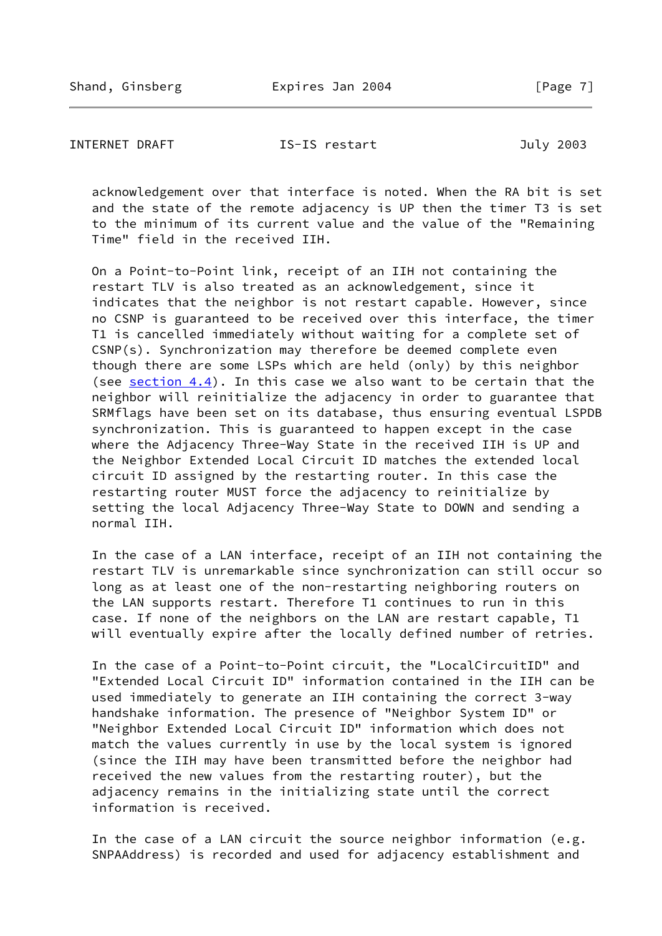INTERNET DRAFT **IS-IS** restart **July 2003** 

 acknowledgement over that interface is noted. When the RA bit is set and the state of the remote adjacency is UP then the timer T3 is set to the minimum of its current value and the value of the "Remaining Time" field in the received IIH.

 On a Point-to-Point link, receipt of an IIH not containing the restart TLV is also treated as an acknowledgement, since it indicates that the neighbor is not restart capable. However, since no CSNP is guaranteed to be received over this interface, the timer T1 is cancelled immediately without waiting for a complete set of CSNP(s). Synchronization may therefore be deemed complete even though there are some LSPs which are held (only) by this neighbor (see [section 4.4](#page-11-0)). In this case we also want to be certain that the neighbor will reinitialize the adjacency in order to guarantee that SRMflags have been set on its database, thus ensuring eventual LSPDB synchronization. This is guaranteed to happen except in the case where the Adjacency Three-Way State in the received IIH is UP and the Neighbor Extended Local Circuit ID matches the extended local circuit ID assigned by the restarting router. In this case the restarting router MUST force the adjacency to reinitialize by setting the local Adjacency Three-Way State to DOWN and sending a normal IIH.

 In the case of a LAN interface, receipt of an IIH not containing the restart TLV is unremarkable since synchronization can still occur so long as at least one of the non-restarting neighboring routers on the LAN supports restart. Therefore T1 continues to run in this case. If none of the neighbors on the LAN are restart capable, T1 will eventually expire after the locally defined number of retries.

 In the case of a Point-to-Point circuit, the "LocalCircuitID" and "Extended Local Circuit ID" information contained in the IIH can be used immediately to generate an IIH containing the correct 3-way handshake information. The presence of "Neighbor System ID" or "Neighbor Extended Local Circuit ID" information which does not match the values currently in use by the local system is ignored (since the IIH may have been transmitted before the neighbor had received the new values from the restarting router), but the adjacency remains in the initializing state until the correct information is received.

 In the case of a LAN circuit the source neighbor information (e.g. SNPAAddress) is recorded and used for adjacency establishment and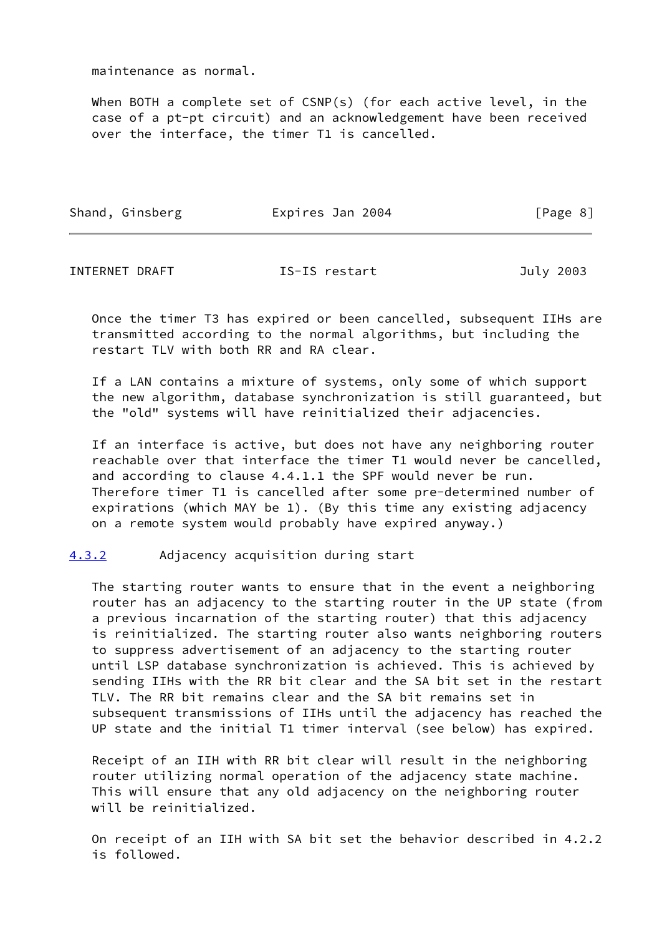maintenance as normal.

 When BOTH a complete set of CSNP(s) (for each active level, in the case of a pt-pt circuit) and an acknowledgement have been received over the interface, the timer T1 is cancelled.

| Shand, Ginsberg | Expires Jan 2004 | [Page 8] |  |
|-----------------|------------------|----------|--|
|                 |                  |          |  |

INTERNET DRAFT IS-IS restart July 2003

 Once the timer T3 has expired or been cancelled, subsequent IIHs are transmitted according to the normal algorithms, but including the restart TLV with both RR and RA clear.

 If a LAN contains a mixture of systems, only some of which support the new algorithm, database synchronization is still guaranteed, but the "old" systems will have reinitialized their adjacencies.

 If an interface is active, but does not have any neighboring router reachable over that interface the timer T1 would never be cancelled, and according to clause 4.4.1.1 the SPF would never be run. Therefore timer T1 is cancelled after some pre-determined number of expirations (which MAY be 1). (By this time any existing adjacency on a remote system would probably have expired anyway.)

<span id="page-9-0"></span>[4.3.2](#page-9-0) Adjacency acquisition during start

 The starting router wants to ensure that in the event a neighboring router has an adjacency to the starting router in the UP state (from a previous incarnation of the starting router) that this adjacency is reinitialized. The starting router also wants neighboring routers to suppress advertisement of an adjacency to the starting router until LSP database synchronization is achieved. This is achieved by sending IIHs with the RR bit clear and the SA bit set in the restart TLV. The RR bit remains clear and the SA bit remains set in subsequent transmissions of IIHs until the adjacency has reached the UP state and the initial T1 timer interval (see below) has expired.

 Receipt of an IIH with RR bit clear will result in the neighboring router utilizing normal operation of the adjacency state machine. This will ensure that any old adjacency on the neighboring router will be reinitialized.

 On receipt of an IIH with SA bit set the behavior described in 4.2.2 is followed.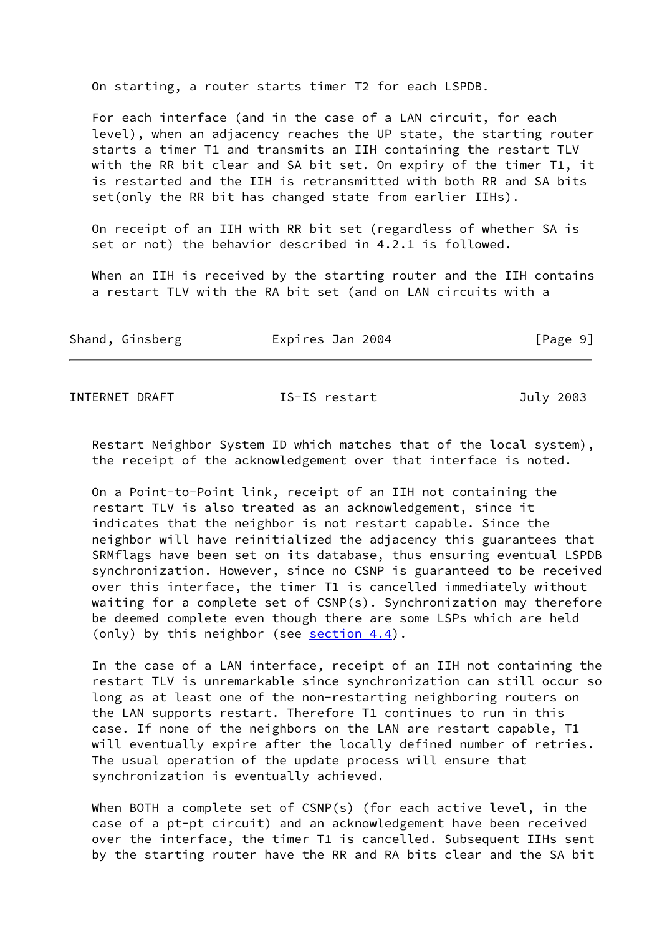On starting, a router starts timer T2 for each LSPDB.

 For each interface (and in the case of a LAN circuit, for each level), when an adjacency reaches the UP state, the starting router starts a timer T1 and transmits an IIH containing the restart TLV with the RR bit clear and SA bit set. On expiry of the timer T1, it is restarted and the IIH is retransmitted with both RR and SA bits set(only the RR bit has changed state from earlier IIHs).

 On receipt of an IIH with RR bit set (regardless of whether SA is set or not) the behavior described in 4.2.1 is followed.

When an IIH is received by the starting router and the IIH contains a restart TLV with the RA bit set (and on LAN circuits with a

| Shand, Ginsberg | Expires Jan 2004 | [Page 9] |  |
|-----------------|------------------|----------|--|
|                 |                  |          |  |

INTERNET DRAFT **IS-IS** restart **July 2003** 

 Restart Neighbor System ID which matches that of the local system), the receipt of the acknowledgement over that interface is noted.

 On a Point-to-Point link, receipt of an IIH not containing the restart TLV is also treated as an acknowledgement, since it indicates that the neighbor is not restart capable. Since the neighbor will have reinitialized the adjacency this guarantees that SRMflags have been set on its database, thus ensuring eventual LSPDB synchronization. However, since no CSNP is guaranteed to be received over this interface, the timer T1 is cancelled immediately without waiting for a complete set of CSNP(s). Synchronization may therefore be deemed complete even though there are some LSPs which are held (only) by this neighbor (see [section 4.4](#page-11-0)).

 In the case of a LAN interface, receipt of an IIH not containing the restart TLV is unremarkable since synchronization can still occur so long as at least one of the non-restarting neighboring routers on the LAN supports restart. Therefore T1 continues to run in this case. If none of the neighbors on the LAN are restart capable, T1 will eventually expire after the locally defined number of retries. The usual operation of the update process will ensure that synchronization is eventually achieved.

 When BOTH a complete set of CSNP(s) (for each active level, in the case of a pt-pt circuit) and an acknowledgement have been received over the interface, the timer T1 is cancelled. Subsequent IIHs sent by the starting router have the RR and RA bits clear and the SA bit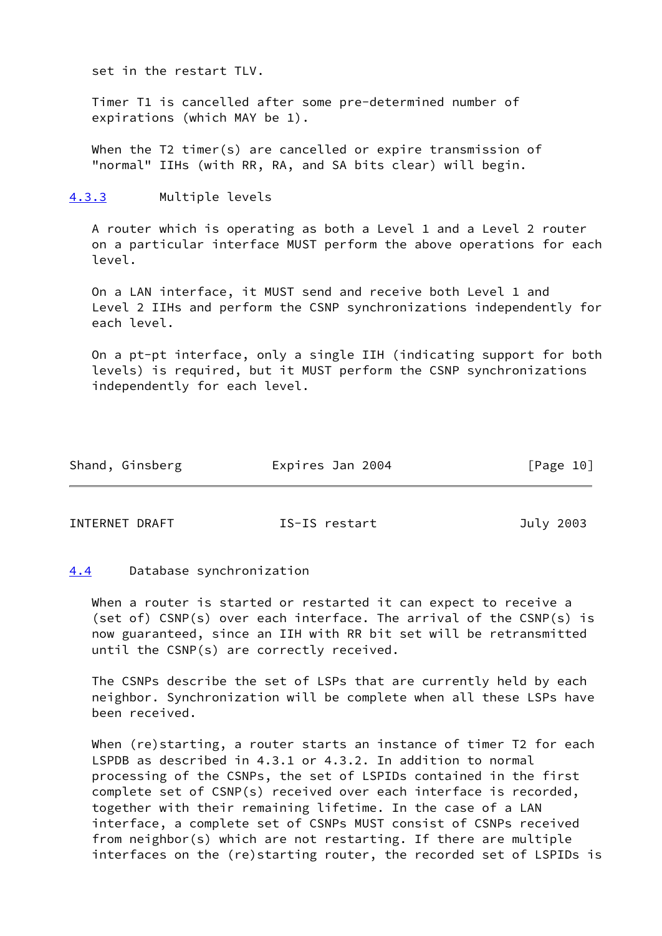set in the restart TLV.

 Timer T1 is cancelled after some pre-determined number of expirations (which MAY be 1).

When the T2 timer(s) are cancelled or expire transmission of "normal" IIHs (with RR, RA, and SA bits clear) will begin.

<span id="page-11-1"></span>[4.3.3](#page-11-1) Multiple levels

 A router which is operating as both a Level 1 and a Level 2 router on a particular interface MUST perform the above operations for each level.

 On a LAN interface, it MUST send and receive both Level 1 and Level 2 IIHs and perform the CSNP synchronizations independently for each level.

 On a pt-pt interface, only a single IIH (indicating support for both levels) is required, but it MUST perform the CSNP synchronizations independently for each level.

| Shand, Ginsberg<br>Expires Jan 2004 | [Page 10] |  |
|-------------------------------------|-----------|--|
|-------------------------------------|-----------|--|

INTERNET DRAFT IS-IS restart July 2003

# <span id="page-11-0"></span>[4.4](#page-11-0) Database synchronization

 When a router is started or restarted it can expect to receive a (set of) CSNP(s) over each interface. The arrival of the CSNP(s) is now guaranteed, since an IIH with RR bit set will be retransmitted until the CSNP(s) are correctly received.

 The CSNPs describe the set of LSPs that are currently held by each neighbor. Synchronization will be complete when all these LSPs have been received.

When (re)starting, a router starts an instance of timer T2 for each LSPDB as described in 4.3.1 or 4.3.2. In addition to normal processing of the CSNPs, the set of LSPIDs contained in the first complete set of CSNP(s) received over each interface is recorded, together with their remaining lifetime. In the case of a LAN interface, a complete set of CSNPs MUST consist of CSNPs received from neighbor(s) which are not restarting. If there are multiple interfaces on the (re)starting router, the recorded set of LSPIDs is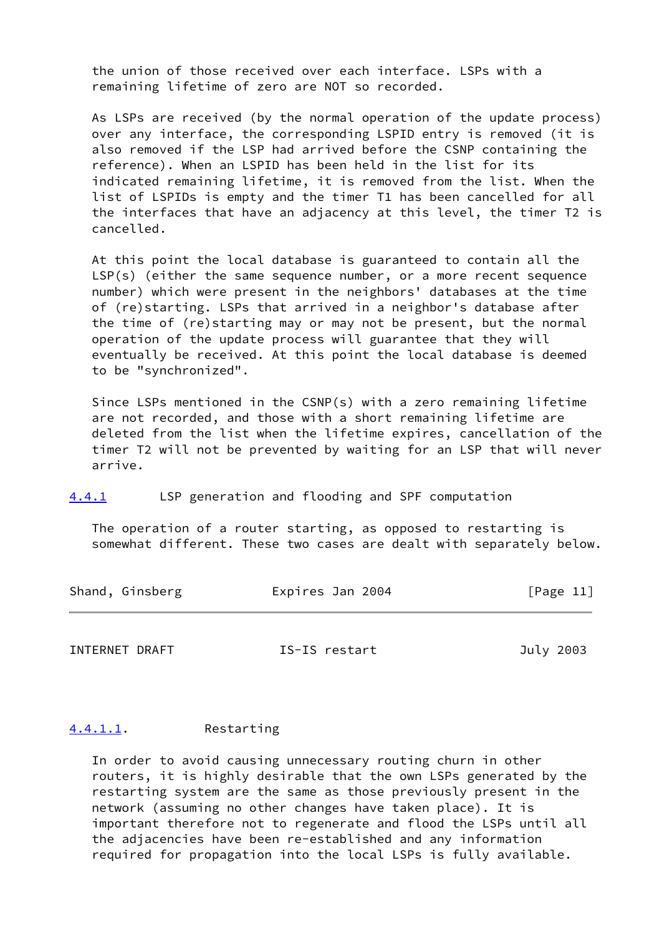the union of those received over each interface. LSPs with a remaining lifetime of zero are NOT so recorded.

 As LSPs are received (by the normal operation of the update process) over any interface, the corresponding LSPID entry is removed (it is also removed if the LSP had arrived before the CSNP containing the reference). When an LSPID has been held in the list for its indicated remaining lifetime, it is removed from the list. When the list of LSPIDs is empty and the timer T1 has been cancelled for all the interfaces that have an adjacency at this level, the timer T2 is cancelled.

 At this point the local database is guaranteed to contain all the LSP(s) (either the same sequence number, or a more recent sequence number) which were present in the neighbors' databases at the time of (re)starting. LSPs that arrived in a neighbor's database after the time of (re)starting may or may not be present, but the normal operation of the update process will guarantee that they will eventually be received. At this point the local database is deemed to be "synchronized".

 Since LSPs mentioned in the CSNP(s) with a zero remaining lifetime are not recorded, and those with a short remaining lifetime are deleted from the list when the lifetime expires, cancellation of the timer T2 will not be prevented by waiting for an LSP that will never arrive.

<span id="page-12-0"></span>[4.4.1](#page-12-0) LSP generation and flooding and SPF computation

 The operation of a router starting, as opposed to restarting is somewhat different. These two cases are dealt with separately below.

| Shand, Ginsberg<br>Expires Jan 2004 | [Page 11] |
|-------------------------------------|-----------|
|-------------------------------------|-----------|

INTERNET DRAFT **IS-IS** restart **July 2003** 

#### <span id="page-12-1"></span>[4.4.1.1](#page-12-1). Restarting

 In order to avoid causing unnecessary routing churn in other routers, it is highly desirable that the own LSPs generated by the restarting system are the same as those previously present in the network (assuming no other changes have taken place). It is important therefore not to regenerate and flood the LSPs until all the adjacencies have been re-established and any information required for propagation into the local LSPs is fully available.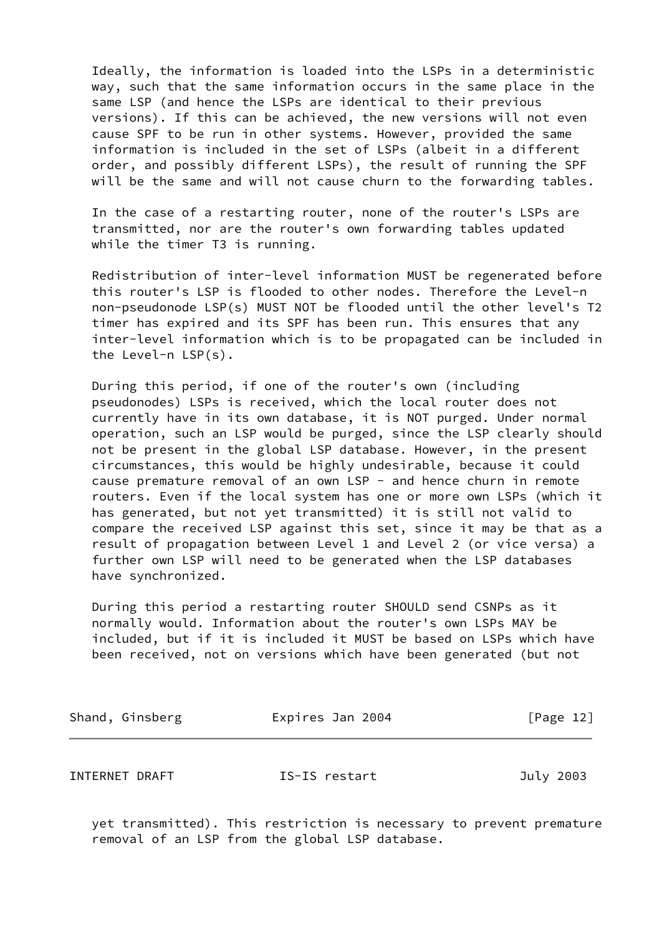Ideally, the information is loaded into the LSPs in a deterministic way, such that the same information occurs in the same place in the same LSP (and hence the LSPs are identical to their previous versions). If this can be achieved, the new versions will not even cause SPF to be run in other systems. However, provided the same information is included in the set of LSPs (albeit in a different order, and possibly different LSPs), the result of running the SPF will be the same and will not cause churn to the forwarding tables.

 In the case of a restarting router, none of the router's LSPs are transmitted, nor are the router's own forwarding tables updated while the timer T3 is running.

 Redistribution of inter-level information MUST be regenerated before this router's LSP is flooded to other nodes. Therefore the Level-n non-pseudonode LSP(s) MUST NOT be flooded until the other level's T2 timer has expired and its SPF has been run. This ensures that any inter-level information which is to be propagated can be included in the Level-n LSP(s).

 During this period, if one of the router's own (including pseudonodes) LSPs is received, which the local router does not currently have in its own database, it is NOT purged. Under normal operation, such an LSP would be purged, since the LSP clearly should not be present in the global LSP database. However, in the present circumstances, this would be highly undesirable, because it could cause premature removal of an own LSP - and hence churn in remote routers. Even if the local system has one or more own LSPs (which it has generated, but not yet transmitted) it is still not valid to compare the received LSP against this set, since it may be that as a result of propagation between Level 1 and Level 2 (or vice versa) a further own LSP will need to be generated when the LSP databases have synchronized.

 During this period a restarting router SHOULD send CSNPs as it normally would. Information about the router's own LSPs MAY be included, but if it is included it MUST be based on LSPs which have been received, not on versions which have been generated (but not

| Shand, Ginsberg | Expires Jan 2004 | [Page 12] |
|-----------------|------------------|-----------|
| INTERNET DRAFT  | IS-IS restart    | July 2003 |
|                 |                  |           |

 yet transmitted). This restriction is necessary to prevent premature removal of an LSP from the global LSP database.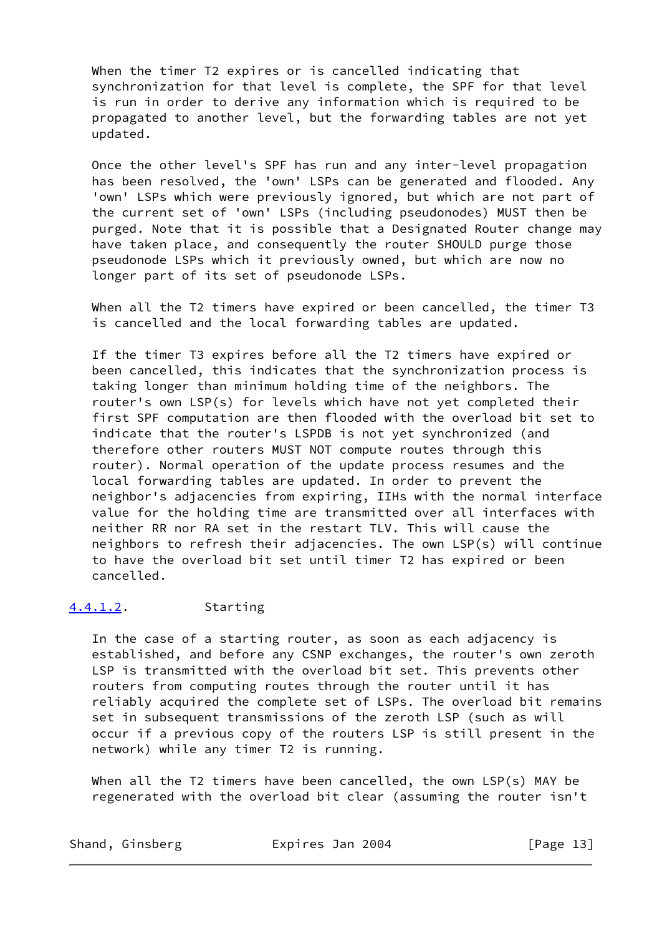When the timer T2 expires or is cancelled indicating that synchronization for that level is complete, the SPF for that level is run in order to derive any information which is required to be propagated to another level, but the forwarding tables are not yet updated.

 Once the other level's SPF has run and any inter-level propagation has been resolved, the 'own' LSPs can be generated and flooded. Any 'own' LSPs which were previously ignored, but which are not part of the current set of 'own' LSPs (including pseudonodes) MUST then be purged. Note that it is possible that a Designated Router change may have taken place, and consequently the router SHOULD purge those pseudonode LSPs which it previously owned, but which are now no longer part of its set of pseudonode LSPs.

 When all the T2 timers have expired or been cancelled, the timer T3 is cancelled and the local forwarding tables are updated.

 If the timer T3 expires before all the T2 timers have expired or been cancelled, this indicates that the synchronization process is taking longer than minimum holding time of the neighbors. The router's own LSP(s) for levels which have not yet completed their first SPF computation are then flooded with the overload bit set to indicate that the router's LSPDB is not yet synchronized (and therefore other routers MUST NOT compute routes through this router). Normal operation of the update process resumes and the local forwarding tables are updated. In order to prevent the neighbor's adjacencies from expiring, IIHs with the normal interface value for the holding time are transmitted over all interfaces with neither RR nor RA set in the restart TLV. This will cause the neighbors to refresh their adjacencies. The own LSP(s) will continue to have the overload bit set until timer T2 has expired or been cancelled.

### <span id="page-14-0"></span>[4.4.1.2](#page-14-0). Starting

 In the case of a starting router, as soon as each adjacency is established, and before any CSNP exchanges, the router's own zeroth LSP is transmitted with the overload bit set. This prevents other routers from computing routes through the router until it has reliably acquired the complete set of LSPs. The overload bit remains set in subsequent transmissions of the zeroth LSP (such as will occur if a previous copy of the routers LSP is still present in the network) while any timer T2 is running.

 When all the T2 timers have been cancelled, the own LSP(s) MAY be regenerated with the overload bit clear (assuming the router isn't

| Shand, | Ginsberg |  |
|--------|----------|--|
|--------|----------|--|

Expires Jan 2004 [Page 13]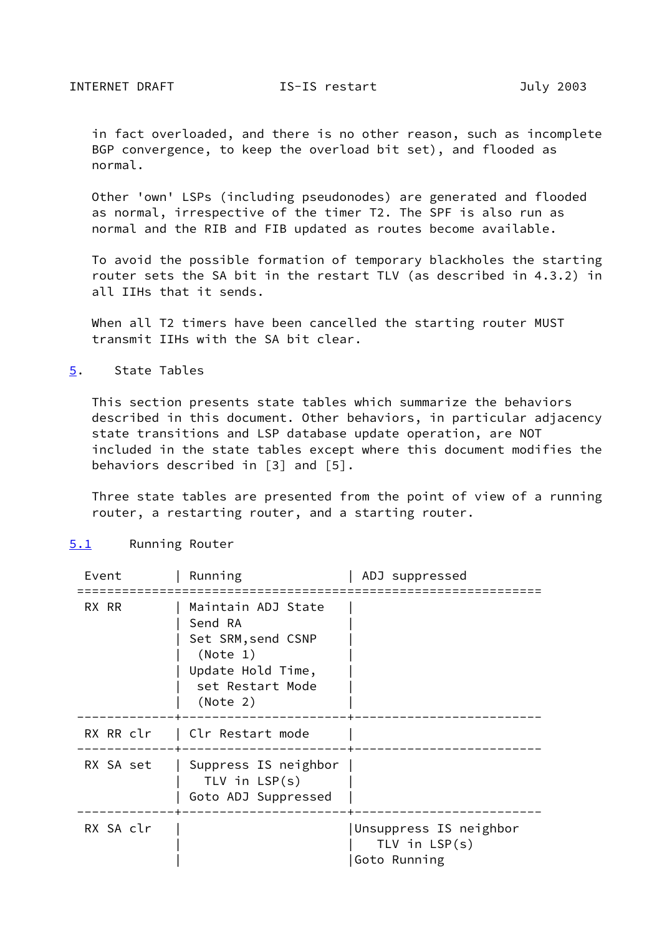in fact overloaded, and there is no other reason, such as incomplete BGP convergence, to keep the overload bit set), and flooded as normal.

 Other 'own' LSPs (including pseudonodes) are generated and flooded as normal, irrespective of the timer T2. The SPF is also run as normal and the RIB and FIB updated as routes become available.

 To avoid the possible formation of temporary blackholes the starting router sets the SA bit in the restart TLV (as described in 4.3.2) in all IIHs that it sends.

 When all T2 timers have been cancelled the starting router MUST transmit IIHs with the SA bit clear.

<span id="page-15-0"></span>[5](#page-15-0). State Tables

 This section presents state tables which summarize the behaviors described in this document. Other behaviors, in particular adjacency state transitions and LSP database update operation, are NOT included in the state tables except where this document modifies the behaviors described in [3] and [5].

 Three state tables are presented from the point of view of a running router, a restarting router, and a starting router.

<span id="page-15-1"></span>

| 5.1 | Running Router |  |
|-----|----------------|--|
|-----|----------------|--|

| Event     | Running                                                                                                              | ADJ suppressed                                            |
|-----------|----------------------------------------------------------------------------------------------------------------------|-----------------------------------------------------------|
| RX RR     | Maintain ADJ State<br>Send RA<br>Set SRM, send CSNP<br>(Note 1)<br>Update Hold Time,<br>set Restart Mode<br>(Note 2) |                                                           |
| RX RR clr | Clr Restart mode                                                                                                     |                                                           |
| RX SA set | Suppress IS neighbor<br>TLV in $LSP(s)$<br>Goto ADJ Suppressed                                                       |                                                           |
| RX SA clr |                                                                                                                      | Unsuppress IS neighbor<br>TLV in $LSP(s)$<br>Goto Running |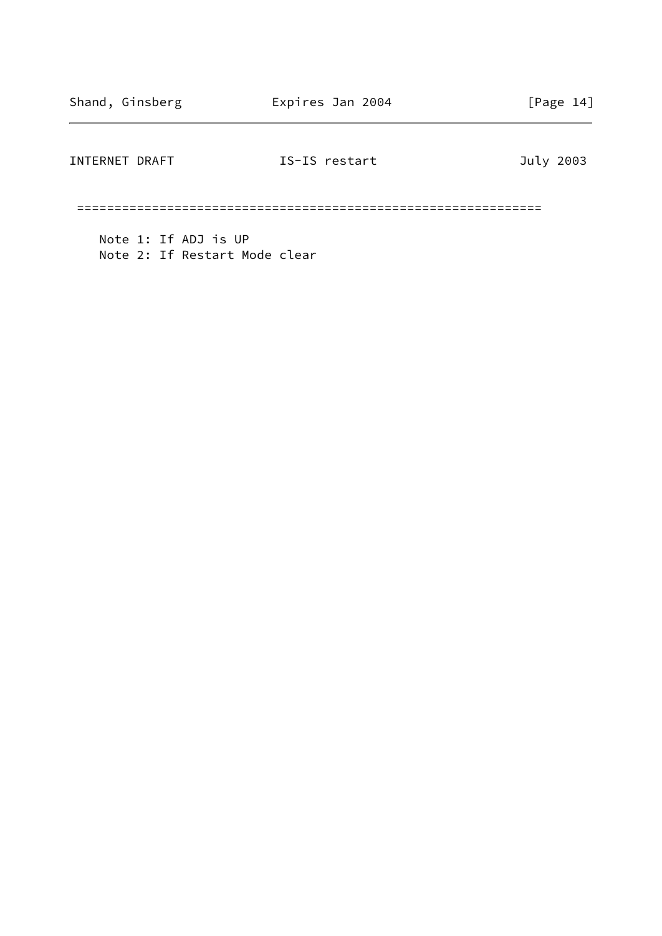# INTERNET DRAFT **IS-IS** restart **IS-IS**  $\frac{1}{2003}$

==============================================================

 Note 1: If ADJ is UP Note 2: If Restart Mode clear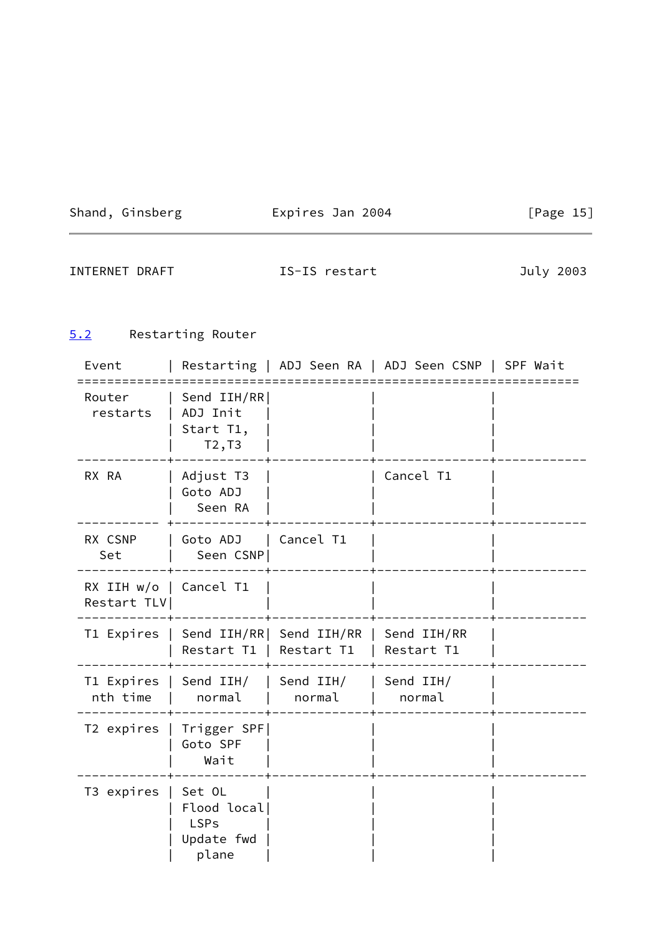Shand, Ginsberg **Expires Jan 2004** [Page 15]

 $\overline{\phantom{a}}$ 

INTERNET DRAFT **IS-IS** restart **IS-IS**  $\frac{1}{2003}$ 

# <span id="page-17-0"></span>[5.2](#page-17-0) Restarting Router

| Event                                   |                                                             |                                        | Restarting   ADJ Seen RA   ADJ Seen CSNP   SPF Wait |  |
|-----------------------------------------|-------------------------------------------------------------|----------------------------------------|-----------------------------------------------------|--|
| Router<br>restarts                      | Send IIH/RR<br>ADJ Init<br>Start T1,<br>T2, T3              |                                        |                                                     |  |
| RX RA                                   | Adjust T3<br>Goto ADJ<br>Seen RA                            |                                        | Cancel T1                                           |  |
| RX CSNP<br>Set                          | Goto ADJ   Cancel T1<br>Seen CSNP                           |                                        |                                                     |  |
| RX IIH $w/o$   Cancel T1<br>Restart TLV |                                                             |                                        |                                                     |  |
| T1 Expires                              | Restart T1   Restart T1                                     | Send IIH/RR  Send IIH/RR   Send IIH/RR | Restart T1                                          |  |
| T1 Expires<br>nth time                  | Send IIH/<br>normal                                         | Send IIH/<br>normal                    | Send IIH/<br>normal                                 |  |
| T2 expires                              | Trigger SPF<br>Goto SPF<br>Wait                             |                                        |                                                     |  |
| T3 expires                              | Set OL<br>Flood local<br><b>LSPs</b><br>Update fwd<br>plane |                                        |                                                     |  |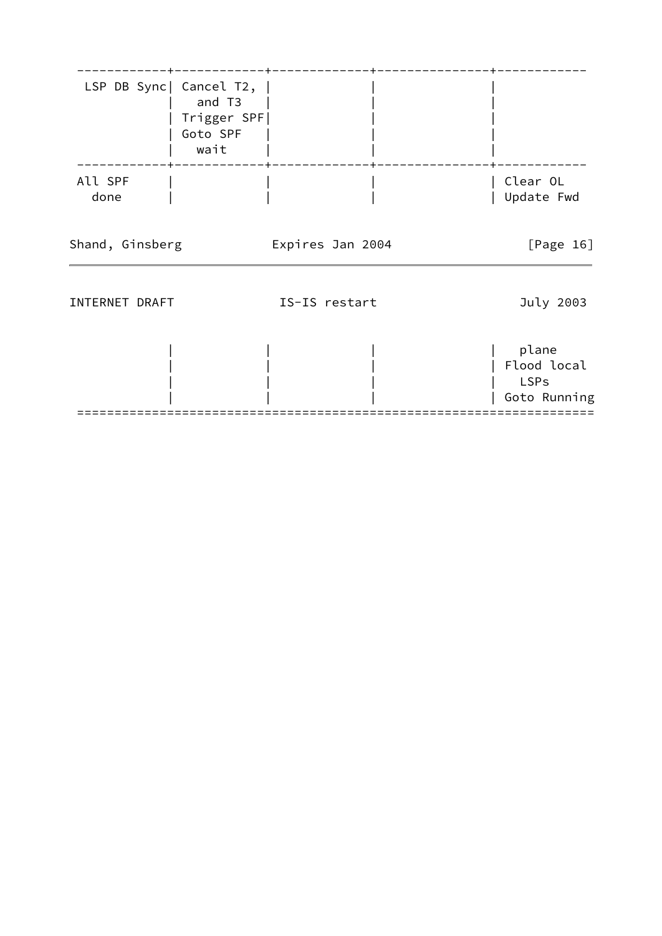|                 | LSP DB Sync   Cancel T2,  <br>and T3<br>Trigger SPF <br>Goto SPF<br>wait |                  |                                                     |
|-----------------|--------------------------------------------------------------------------|------------------|-----------------------------------------------------|
| All SPF<br>done |                                                                          |                  | Clear OL<br>Update Fwd                              |
| Shand, Ginsberg |                                                                          | Expires Jan 2004 | [Page $16$ ]                                        |
| INTERNET DRAFT  |                                                                          | IS-IS restart    | July 2003                                           |
|                 |                                                                          |                  | plane<br>Flood local<br><b>LSPs</b><br>Goto Running |

=====================================================================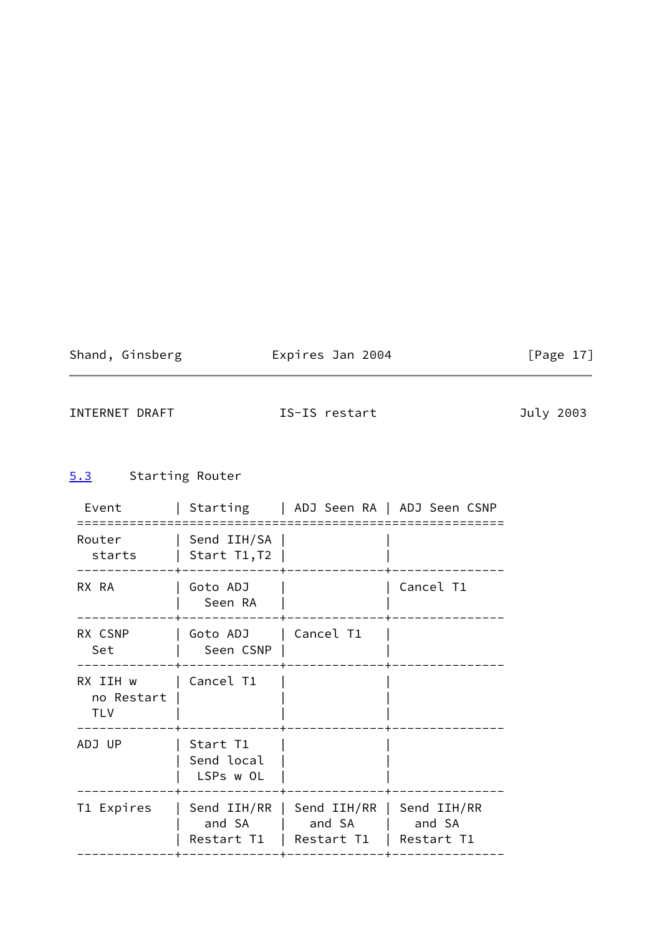| Shand, Ginsberg | Expires Jan 2004 | [Page $17$ ] |  |
|-----------------|------------------|--------------|--|
|                 |                  |              |  |

INTERNET DRAFT **IS-IS** restart **IS-IS** restart July 2003

# <span id="page-19-0"></span>[5.3](#page-19-0) Starting Router

| Event                                |                                     |                                                         | Starting   ADJ Seen RA   ADJ Seen CSNP |
|--------------------------------------|-------------------------------------|---------------------------------------------------------|----------------------------------------|
| Router<br>starts                     | Send IIH/SA<br>Start T1,T2          |                                                         |                                        |
| RX RA                                | Goto ADJ<br>Seen RA                 |                                                         | Cancel T1                              |
| RX CSNP<br>Set                       | Goto ADJ   Cancel T1<br>Seen CSNP   |                                                         |                                        |
| RX IIH w<br>no Restart<br><b>TLV</b> | Cancel T1                           |                                                         |                                        |
| ADJ UP                               | Start T1<br>Send local<br>LSPs w OL |                                                         |                                        |
| T1 Expires                           | Send $IIH/RR$  <br>and SA           | and SA   and SA<br>Restart T1   Restart T1   Restart T1 | Send IIH/RR   Send IIH/RR              |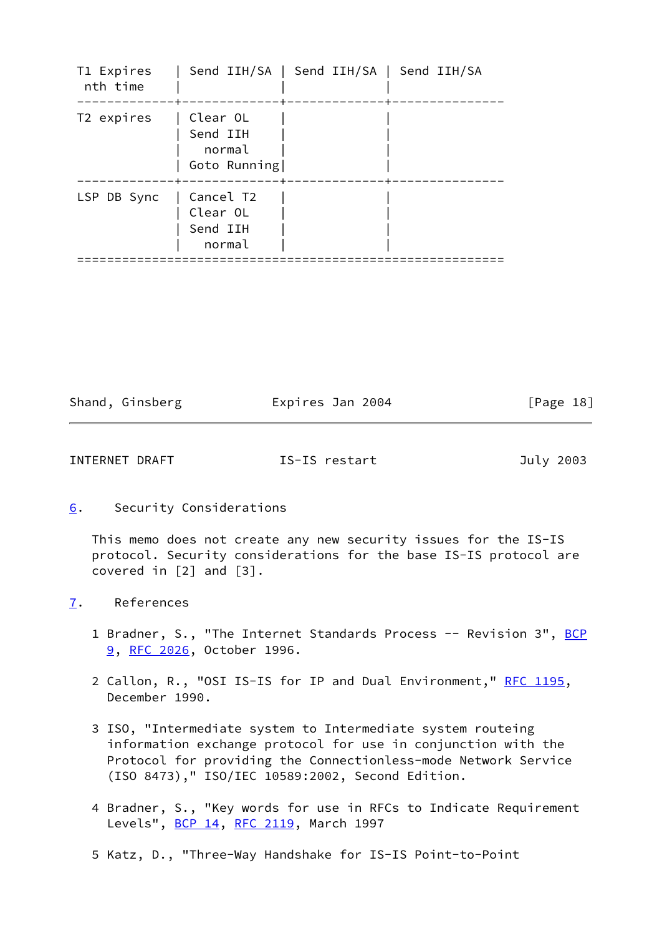| T1 Expires<br>nth time |                                                | Send IIH/SA   Send IIH/SA   Send IIH/SA |  |
|------------------------|------------------------------------------------|-----------------------------------------|--|
| T2 expires             | Clear OL<br>Send IIH<br>normal<br>Goto Running |                                         |  |
| LSP DB Sync            | Cancel T2<br>Clear OL<br>Send IIH<br>normal    |                                         |  |

Shand, Ginsberg Expires Jan 2004 [Page 18]

INTERNET DRAFT **IS-IS** restart **July 2003** 

<span id="page-20-0"></span>[6](#page-20-0). Security Considerations

 This memo does not create any new security issues for the IS-IS protocol. Security considerations for the base IS-IS protocol are covered in [2] and [3].

- <span id="page-20-1"></span>[7](#page-20-1). References
	- 1 Bradner, S., "The Internet Standards Process -- Revision 3", [BCP](https://datatracker.ietf.org/doc/pdf/bcp9) [9,](https://datatracker.ietf.org/doc/pdf/bcp9) [RFC 2026](https://datatracker.ietf.org/doc/pdf/rfc2026), October 1996.
	- 2 Callon, R., "OSI IS-IS for IP and Dual Environment," [RFC 1195,](https://datatracker.ietf.org/doc/pdf/rfc1195) December 1990.
	- 3 ISO, "Intermediate system to Intermediate system routeing information exchange protocol for use in conjunction with the Protocol for providing the Connectionless-mode Network Service (ISO 8473)," ISO/IEC 10589:2002, Second Edition.
	- 4 Bradner, S., "Key words for use in RFCs to Indicate Requirement Levels", [BCP 14](https://datatracker.ietf.org/doc/pdf/bcp14), [RFC 2119,](https://datatracker.ietf.org/doc/pdf/rfc2119) March 1997
	- 5 Katz, D., "Three-Way Handshake for IS-IS Point-to-Point